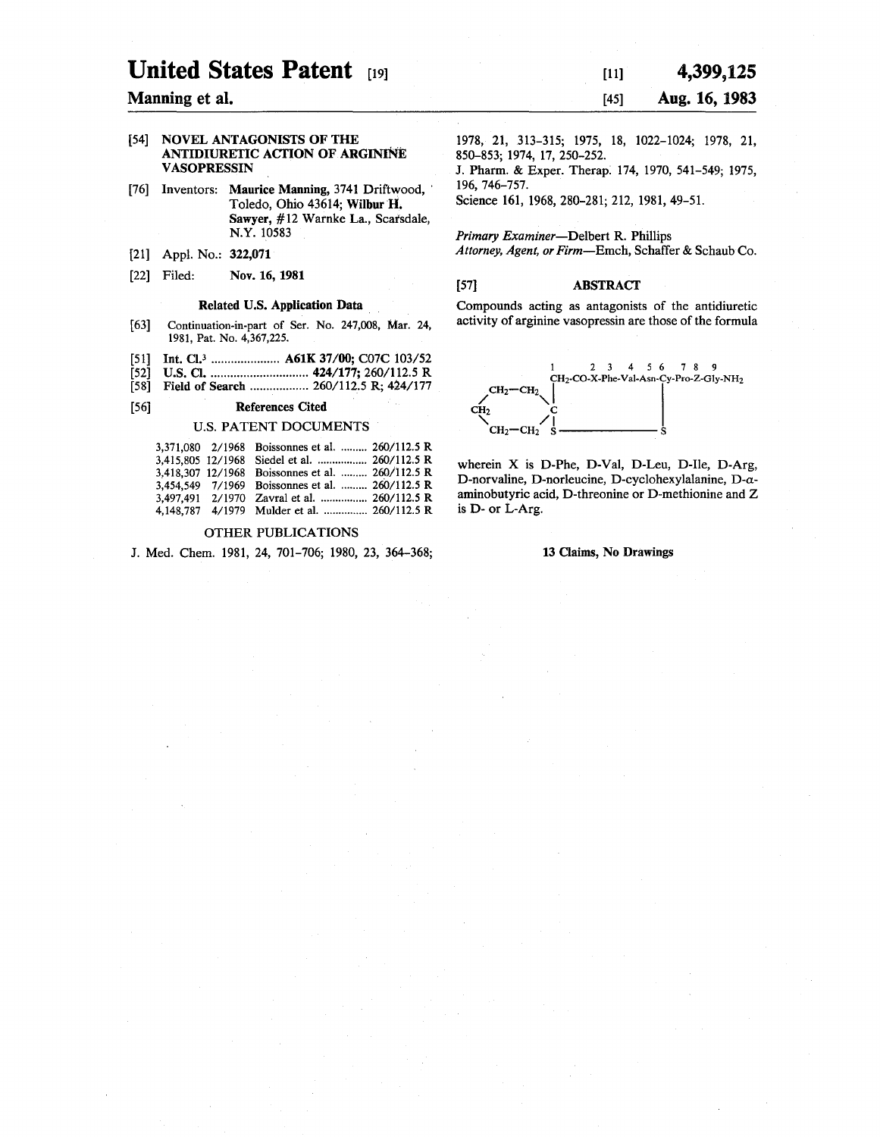# **United States Patent** [19]

#### Manning et al.

#### [54] **NOVEL ANTAGONISTS OF THE ANTIDIURETIC ACTION OF ARGININE V ASOPRESSIN**

- [76] Inventors: **Maurice Manning, 3741 Driftwood,** Toledo, Ohio 43614; **Wilbur H.**  Sawyer, #12 Warnke La., Scarsdale, N.Y. 10583
- [21] Appl. No.: **322,071**
- [22] Filed: Nov. 16, 1981

#### Related U.S. Application Data

- [63] Continuation-in-part of Ser. No. 247,008, Mar. 24, 1981, Pat. No. 4,367,225.
- [51] Int. Cl.3 ..................... **A61K** 37/00; C07C 103/52
- [52] U.S. Cl ............................... 424/177; 260/112.5 R
- [58] Field of Search ................... 260/112.5 R; 424/177

#### [56] **References Cited**

#### U.S. PATENT DOCUMENTS

|  | 3,371,080 2/1968 Boissonnes et al.  260/112.5 R  |  |
|--|--------------------------------------------------|--|
|  |                                                  |  |
|  | 3,418,307 12/1968 Boissonnes et al.  260/112.5 R |  |
|  | 3,454.549 7/1969 Boissonnes et al.  260/112.5 R  |  |
|  | 3,497,491 2/1970 Zavral et al.  260/112.5 R      |  |
|  | 4,148,787 4/1979 Mulder et al.  260/112.5 R      |  |

### OTHER PUBLICATIONS

J. Med. Chem. 1981, 24, 701-706; 1980, 23, 364-368;

[11] [45] **4,399,125 Aug. 16, 1983** 

1978, 21, 313-315; 1975, 18, 1022-1024; 1978, 21, 850-853; 1974, 17, 250-252.

J. Phann. & Exper. Therap: 174, 1970, 541-549; 1975, 196, 746-757.

Science 161, 1968, 280-281; 212, 1981, 49-51.

*Primary Examiner-Delbert* R. Phillips *Attorney, Agent, or Firm-Emch,* Schaffer & Schaub Co.

#### [57] ABSTRACT

Compounds acting as antagonists of the antidiuretic activity of arginine vasopressin are those of the formula



wherein X is D-Phe, D-Val, D-Leu, D-Ile, D-Arg, D-norvaline, D-norleucine, D-cyclohexylalanine, D-aaminobutyric acid, D-threonine or D-methionine and Z is D- or L-Arg.

#### **13 Claims, No Drawings**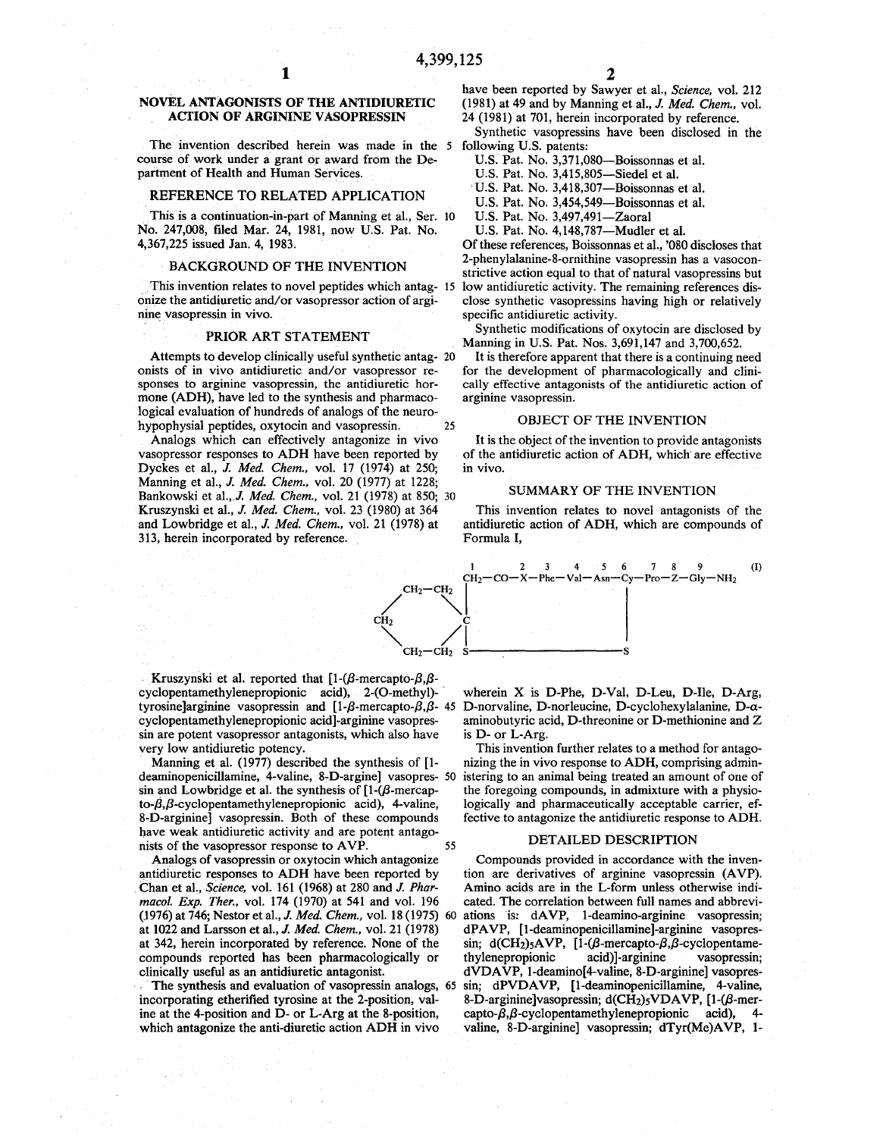#### **NOVEL ANTAGONISTS OF THE ANTIDIURETIC ACTION OF ARGININE VASOPRESSIN**

The invention described herein was made in the 5 following U.S. patents: course of work under a grant or award from the Department of Health and Human Services.

#### REFERENCE TO RELATED APPLICATION

This is a continuation-in-part of Manning et al., Ser. 10 No. 247,008, filed Mar. 24, 1981, now U.S. Pat. No. 4,367,225 issued Jan. 4, 1983.

#### BACKGROUND OF THE INVENTION

This invention relates to novel peptides which antag- 15 onize the antidiuretic and/ or vasopressor action of arginine vasopressin in vivo.

#### **PRIOR** ART STATEMENT

Attempts to develop clinically useful synthetic antag- 20 onists of in vivo antidiuretic and/or vasopressor responses to arginine vasopressin, the antidiuretic hormone **(ADH),** have led to the synthesis and pharmacological evaluation of hundreds of analogs of the neurohypophysial peptides, oxytocin and vasopressin. 25

Analogs which can effectively antagonize in vivo vasopressor responses to **ADH** have been reported by Dyckes et al., *J. Med. Chem.,* vol. 17 (1974) at 250; Manning et al., *J. Med. Chem.,* vol. 20 (1977) at 1228; Bankowski et al.,,J. *Med. Chem.,* vol. 21 (1978) at 850; 30 Kruszynski et al., *J. Med. Chem.,* vol. 23 (1980) at 364 and Lowbridge et al., *J. Med. Chem.,* vol. 21 (1978) at 313, herein incorporated by reference.

have been reported by Sawyer et al., *Science,* vol. 212 (1981) at 49 and by Manning et al., *J. Med. Chem.,* vol.

24 (1981) at 701, herein incorporated by reference.

Synthetic vasopressins have been disclosed in the

U.S. Pat. No. 3,371,080-Boissonnas et al.

U.S. Pat. No. 3,415,805-Siedel et al.

U.S. Pat. No. 3,418,307-Boissonnas et al.

U.S. Pat. No. 3,454,549-Boissonnas et al.

U.S. Pat. No. 3,497,491-Zaoral

U.S. Pat. No. 4,148,787-Mudler et al.

Of these references, Boissonnas et al., '080 discloses that 2-phenylalanine-8-ornithine vasopressin has a vasoconstrictive action equal to that of natural vasopressins but low antidiuretic activity. The remaining references disclose synthetic vasopressins having high or relatively specific antidiuretic activity.

Synthetic modifications of oxytocin are disclosed by Manning in U.S. Pat. Nos. 3,691,147 and 3,700,652.

It is therefore apparent that there is a continuing need for the development of pharmacologically and clinically effective antagonists of the antidiuretic action of arginine vasopressin.

#### OBJECT OF THE INVENTION

It is the object of the invention to provide antagonists of the antidiuretic action of ADH, which· are effective in vivo.

#### SUMMARY OF THE INVENTION

This invention relates to novel antagonists of the antidiuretic action of **ADH,** which are compounds of Formula I,



Kruszynski et al. reported that  $[1-(\beta-mercapto-\beta,\beta$ cyclopentamethylenepropionic acid), 2-(O-methyl)tyrosine]arginine vasopressin and [1- $\beta$ -mercapto- $\beta$ , $\beta$ - 45 D-norvaline, D-norleucine, D-cyclohexylalanine, D-acyclopentamethylenepropionic acid]-arginine vasopressin are potent vasopressor antagonists, which also have very low antidiuretic potency.

Manning et al. (1977) described the synthesis of [1 sin and Lowbridge et al. the synthesis of  $[1-(\beta-1)]$ to- $\beta$ , $\beta$ -cyclopentamethylenepropionic acid), 4-valine, 8-D-arginine] vasopressin. Both of these compounds have weak antidiuretic activity and are potent antagonists of the vasopressor response to AVP. 55

Analogs of vasopressin or oxytocin which antagonize antidiuretic responses to ADH have been reported by Chan et al., *Science,* vol. 161 (1968) at 280 and *J. Pharmacol. Exp. Ther.,* vol. 174 (1970) at 541 and vol. 196 (1976) at 746; Nestor et al., *J. Med. Chem.,* vol. 18 (1975) 60 ations is: dAVP, 1-deamino-arginine vasopressin; at 1022 and Larsson et al., *J. Med. Chem.,* vol. 21 (1978) at 342, herein incorporated by reference. None of the compounds reported has been pharmacologically or clinically useful as an antidiuretic antagonist.

incorporating etherified tyrosine at the 2-position, valine at the 4-position and D- or L-Arg at the 8-position, which antagonize the anti-diuretic action ADH in vivo

wherein X is D-Phe, D-Val, D-Leu, D-Ile, D-Arg, aminobutyric acid, D-threonine or D-methionine and Z is D- or L-Arg.

deaminopenicillamine, 4-valine, 8-D-argine] vasopres- 50 istering to an animal being treated an amount of one of This invention further relates to a method for antagonizing the in vivo response to **ADH,** comprising adminthe foregoing compounds, in admixture with a physiologically and pharmaceutically acceptable carrier, effective to antagonize the antidiuretic response to **ADH.** 

#### DETAILED DESCRIPTION

The synthesis and evaluation of vasopressin analogs, 65 sin; dPVDAVP, [1-deaminopenicillamine, 4-valine, Compounds provided in accordance with the invention are derivatives of arginine vasopressin (AVP). Amino acids are in the L-form unless otherwise indicated. The correlation between full names and abbrevidPAVP, [1-deaminopenicillamine]-arginine vasopressin; d(CH<sub>2</sub>)5AVP, [1-( $\beta$ -mercapto- $\beta$ , $\beta$ -cyclopentamethylenepropionic acid) ]-arginine vasopressin; dVDAVP, l-deamino[4-valine, 8-D-arginine] vasopres-8-D-arginine]vasopressin; d(CH<sub>2</sub>)<sub>5</sub>VDAVP, [1-( $\beta$ -mercapto- $\beta$ , $\beta$ -cyclopentamethylenepropionic acid), valine, 8-D-arginine] vasopressin; dTyr(Me)AVP, 1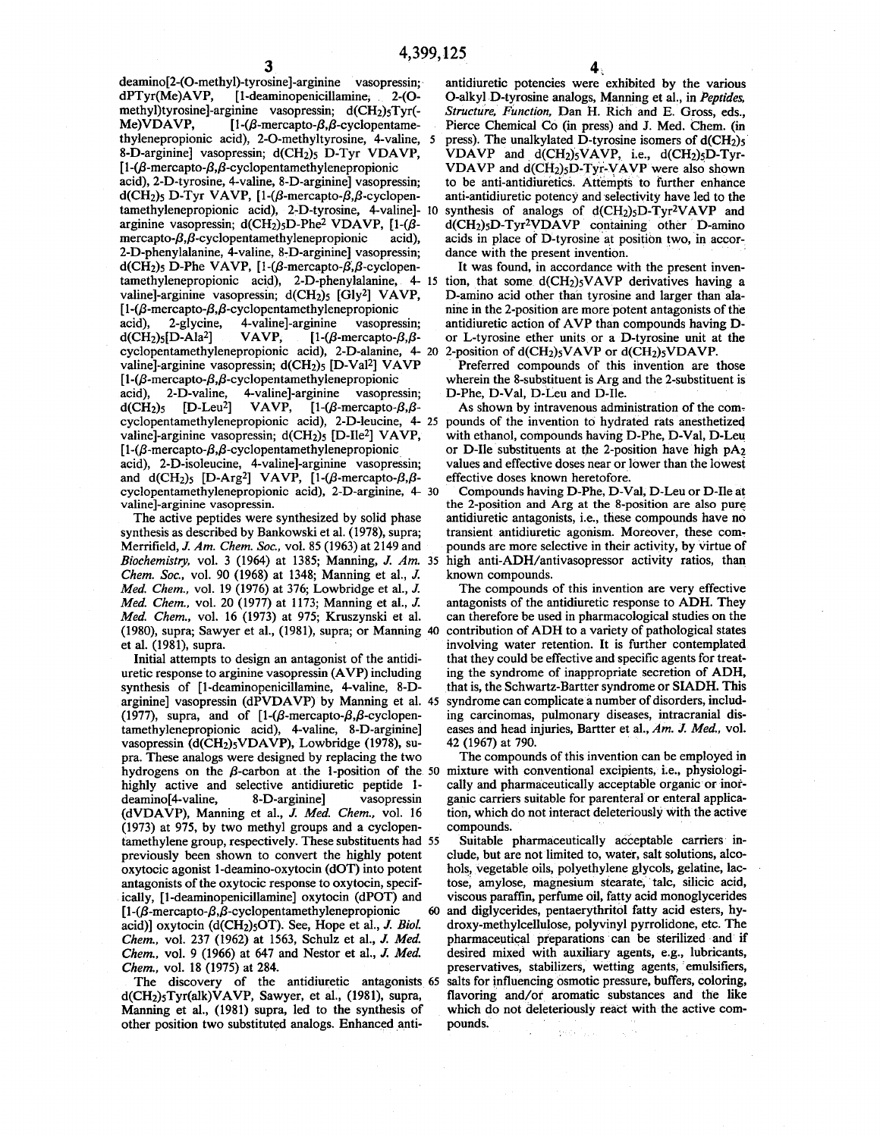deamino[2-(O-methyl)-tyrosine]-arginine vasopressin;<br>dPTyr(Me)AVP, [1-deaminopenicillamine, 2-(O-[1-deaminopenicillamine, 2-(Omethyl)tyrosine]-arginine vasopressin;  $d(CH<sub>2</sub>)<sub>5</sub>Tyr(-$ Me)VDAVP,  $[1-(\beta$ -mercapto- $\beta, \beta$ -cyclopentamethylenepropionic acid), 2-O-methyltyrosine, 4-valine, 8-D-arginine] vasopressin; d(CH2)s D-Tyr **VDAVP,**   $[1-(\beta-mercapto-\beta,\beta-cyclopentamethylene propionic$ acid), 2-D-tyrosine, 4-valine, 8-D-arginine] vasopressin;  $d(CH_2)$ s D-Tyr VAVP, [1-( $\beta$ -mercapto- $\beta$ , $\beta$ -cyclopentamethylenepropionic acid), 2-D-tyrosine, 4-valine] arginine vasopressin; d(CH<sub>2</sub>)<sub>5</sub>D-Phe<sup>2</sup> VDAVP, [1-( $\beta$  $mercapto-B,B$ -cyclopentamethylenepropionic acid), 2-D-phenylalanine, 4-valine, 8-D-arginine] vasopressin;  $d(CH_2)$ s D-Phe VAVP, [1-( $\beta$ -mercapto- $\beta$ , $\beta$ -cyclopentamethylenepropionic acid), 2-D-phenylalanine, 4 valine]-arginine vasopressin; d(CH<sub>2</sub>)<sub>5</sub> [Gly<sup>2</sup>] VAVP,  $[1-(\beta\text{-mercapto-}\beta,\beta\text{-cyclopentamethylenepropionic}$ acid), 2-glycine, 4-valine]-arginine vasopressin;<br>d(CH<sub>2</sub>)<sub>5</sub>[D-Ala<sup>2</sup>] VAVP, [1-( $\beta$ -mercapto- $\beta$ , $\beta$ -VAVP,  $[1-(\beta\text{-mercapto-}\beta,\beta-\alpha)]$ cyclopentamethylenepropionic acid), 2-D-alanine, 4- 20 valine]-arginine vasopressin; d(CH2)s [D-Val2] **VAVP**   $[1-(\beta-mercapto-\beta,\beta-cyclopentamethylenepropionic$ acid), 2-D-valine, 4-valine]-arginine vasopressin;  $d(CH<sub>2</sub>)$ <sub>5</sub> [D-Leu<sup>2</sup>] VAVP, [1-( $\beta$ -mercapto- $\beta$ , $\beta$ cyclopentamethylenepropionic acid), 2-D-leucine, 4- 25 valine]-arginine vasopressin; d(CH2)s [D-Ile2] **V AVP,**   $[1-(\beta$ -mercapto- $\beta$ , $\beta$ -cyclopentamethylenepropionic acid), 2-D-isoleucine, 4-valine]-arginine vasopressin;<br>and d(CH<sub>2</sub>)<sub>5</sub> [D-Arg<sup>2</sup>] VAVP, [1-(β-mercapto-β,βcyclopentamethylenepropionic acid), 2-D-arginine, 4 valine]-arginine vasopressin.

The active peptides were synthesized by solid phase synthesis as described by Bankowski et al. (1978), supra; Merrifield, *J. Am. Chem. Soc.,* vol. 85 (1963) at 2149 and *Biochemistry,* vol. 3 (1964) at 1385; Manning, *J. Am.* 35 *Chem. Soc.,* vol. 90 (1968) at 1348; Manning et al., *J. Med. Chem.,* vol. 19 (1976) at 376; Lowbridge et al., *J. Med. Chem.,* vol. 20 (1977) at 1173; Manning et al., *J. Med. Chem.,* vol. 16 (1973) at 975; Kruszynski et al. (1980), supra; Sawyer et al., (1981), supra; or Manning 40 et al. (1981), supra.

Initial attempts to design an antagonist of the antidiuretic response to arginine vasopressin **(A VP)** including synthesis of [1-deaminopenicillamine, 4-valine, 8-Darginine] vasopressin (dPVDAVP) by Manning et al. 45 (1977), supra, and of  $[1-(\beta-1)]$ -mercapto- $\beta$ ,  $\beta$ -cyclopentamethylenepropionic acid), 4-valine, 8-D-arginine] vasopressin (d(CH2)sVDAVP), Lowbridge (1978), supra. These analogs were designed by replacing the two hydrogens on the  $\beta$ -carbon at the 1-position of the 50 highly active and selective antidiuretic peptide 1 deamino[4-valine, 8-D-arginine] vasopressin **(dVDA VP),** Manning et al., *J. Med. Chem.,* vol. 16 (1973) at 975, by two methyl groups and a cyclopentamethylene group, respectively. These substituents had previously been shown to convert the highly potent oxytocic agonist 1-deamino-oxytocin (dOT) into potent antagonists of the oxytocic response to oxytocin, specifically, [1-deaminopenicillamine] oxytocin (dPOT) and  $[1-(\beta-mercapto-\beta,\beta-cyclopentamethylenepropionic$ acid)] oxytocin (d(CH2)sOT). See, Hope et al., *J. Biol. Chem,* vol. 237 (1962) at 1563, Schulz et al., *J. Med. Chem.,* vol. 9 (1966) at 647 and Nestor et al., *J. Med. Chem.,* vol. 18 (1975) at 284.

The discovery of the antidiuretic antagonists 65 d(CH2)5Tyr(alk)VAVP, Sawyer, et al., (1981), supra, Manning et al., (1981) supra, led to the synthesis of other position two substituted analogs. Enhanced anti-

antidiuretic potencies were exhibited by the various O-alkyl D-tyrosine analogs, Manning et aL, in *Peptides, Structure, Function,* Dan H. Rich and E. Gross, eds., Pierce Chemical Co (in press) and J. Med. Chem. (in press). The unalkylated D-tyrosine isomers of  $d(CH_2)$ s VDAVP and  $d(CH_2)_5 VAVP$ , i.e.,  $d(CH_2)_5D-Tyr$ -VDAVP and d(CH<sub>2</sub>)<sub>5</sub>D-Tyr-VAVP were also shown to be anti-antidiuretics. Attempts to further enhance anti-antidiuretic potency and selectivity have led to the synthesis of analogs of  $d(CH_2)_5D-Tyr^2VAVP$  and d(CH<sub>2</sub>)<sub>5</sub>D-Tyr<sup>2</sup>VDAVP containing other D-amino acids in place of D-tyrosine at position two, in accordance with the present invention.

It was found, in accordance with the present invention, that some  $d(CH<sub>2</sub>)<sub>5</sub> VAVP$  derivatives having a D-amino acid other than tyrosine and larger than alanine in the 2-position are more potent antagonists of the antidiuretic action of AVP than compounds having Dor L-tyrosine ether units or a D-tyrosine unit at the 2-position of d(CH2)sVA **VP** or d(CH2)sVDAVP.

Preferred compounds of this invention are those wherein the 8-substituent is Arg and the 2-substituent is D-Phe, D-Val, D-Leu and D-Ile.

As shown by intravenous administration of the compounds of the invention to hydrated rats anesthetized with ethanol, compounds having D-Phe, D-Val, D-Leu or D-Ile substituents at the 2-position have high pA2 values and effective doses near or lower than the lowesi effective doses known heretofore.

Compounds having D-Phe, D-Val, D-Leu or D-Ile at the 2-position and Arg at the 8-position are also pure, antidiuretic antagonists, i.e., these compounds have no transient antidiuretic agonism. Moreover, these com, pounds are more selective in their activity, by virtue of high anti-ADH/antivasopressor activity ratios, than known compounds.

The compounds of this invention are very effective antagonists of the antidiuretic response to **ADH.** They can therefore be used in pharmacological studies on the contribution of **ADH** to a variety of pathological states involving water retention. It is further contemplated that they could be effective and specific agents for treating the syndrome of inappropriate secretion of ADH, that is, the Schwartz-Bartter syndrome or SIADH. This syndrome can complicate a number of disorders, including carcinomas, pulmonary diseases, intracranial diseases and head injuries, Bartter et al., *Am. J. Med.,* vol. 42 (1967) at 790.

The compounds of this invention can be employed in mixture with conventional excipients, i.e., physiologically and pharmaceutically acceptable organic or inorganic carriers suitable for parenteral or enteral application, which do not interact deleteriously with the active compounds.

Suitable pharmaceutically acceptable carriers include, but are not limited to, water, salt solutions, alcohols, vegetable oils, polyethylene glycols, gelatine, lactose, amylose, magnesium stearate, talc, silicic acid, viscous paraffin, perfume oil, fatty acid monoglycerides 60 and diglycerides, pentaerythritol fatty acid esters, hydroxy-methylcellulose, polyvinyl pyrrolidone, etc. The pharmaceutical preparations can be sterilized and if desired mixed with auxiliary agents, e.g., lubricants, preservatives, stabilizers, wetting agents, 'emulsifiers, salts for influencing osmotic pressure, buffers, coloring, flavoring and/or aromatic substances and the like which do not deleteriously react with the active compounds.  $\{ \partial_t \mathcal{L}_t \}_{t \in [0,1]}$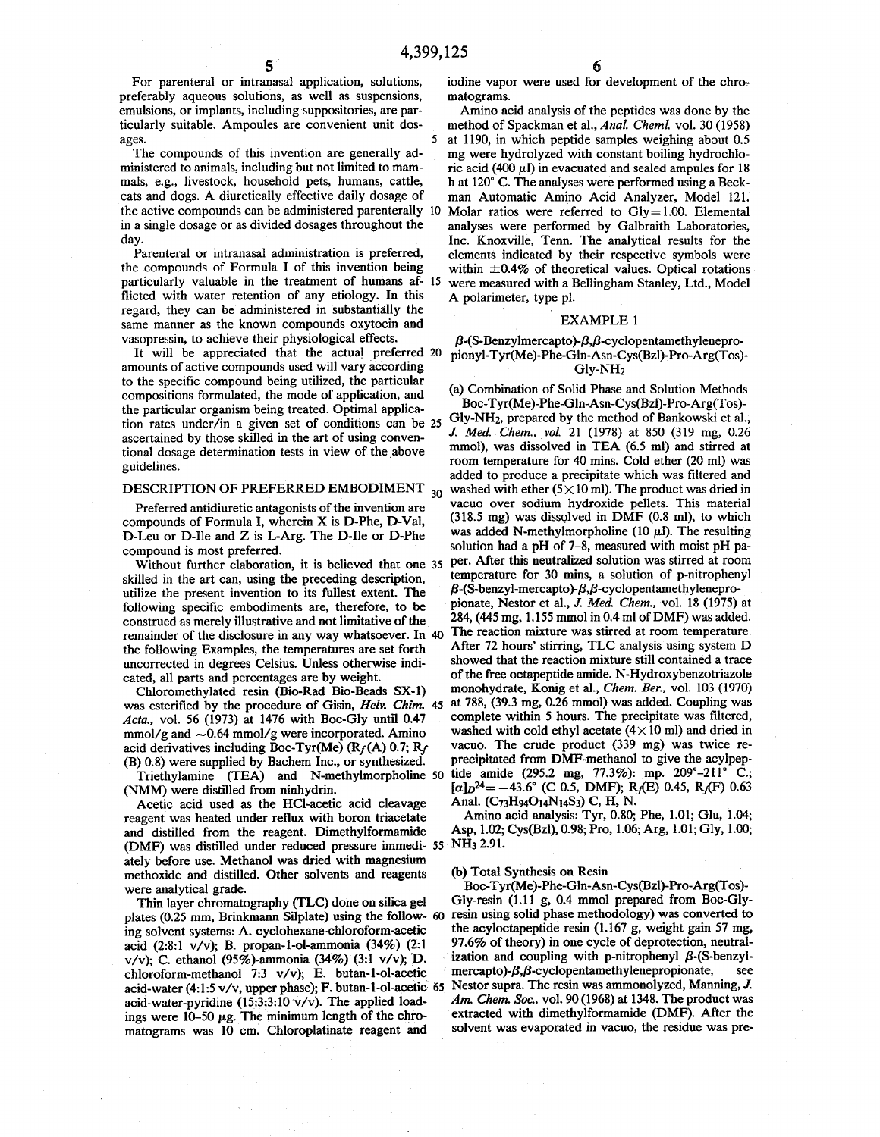For parenteral or intranasal application, solutions, preferably aqueous solutions, as well as suspensions, emulsions, or implants, including suppositories, are particularly suitable. Ampoules are convenient unit dos-

The compounds of this invention are generally administered to animals, including but not limited to mammals, e.g., livestock, household pets, humans, cattle, cats and dogs. A diuretically effective daily dosage of the active compounds can be administered parenterally 10 in a single dosage or as divided dosages throughout the day.

Parenteral or intranasal administration is preferred, the compounds of Formula I of this invention being particularly valuable in the treatment of humans af- 15 flicted with water retention of any etiology. In this regard, they can be administered in substantially the same manner as the known compounds oxytocin and vasopressin, to achieve their physiological effects.

It will be appreciated that the actual preferred 20 amounts of active compounds used will vary according to the specific compound being utilized, the particular compositions formulated, the mode of application, and the particular organism being treated. Optimal application rates under/in a given set of conditions can be 25 ascertained by those skilled in the art of using conventional dosage determination tests in view of the above guidelines.

D-Leu or D-Ile and Z is L-Arg. The D-Ile or D-Phe

skilled in the art can, using the preceding description, temperature for 30 mins, a solution of p-nitropheng<br>utilize the present invention to its fullest extent. The  $\beta$ -(S-benzyl-mercapto)- $\beta$ , $\beta$ -cyclopentamethylenep utilize the present invention to its fullest extent. The  $\beta$ -(S-benzyl-mercapto)- $\beta$ , $\beta$ -cyclopentamethylenepro-<br>following specific embodiments are therefore to be pionate. Nestor et al., J. Med. Chem., vol. 18 (1975) following specific embodiments are, therefore, to be pionate, Nestor et al., *J. Med. Chem.,* vol. 18 (1975) at construed as merely illustrative and not limitative of the 284, (445 mg, 1.155 mmol in 0.4 ml of DMF) was added.<br>
remainder of the disclosure in any way whatsoever. In 40. The reaction mixture was stirred at room temperat remainder of the disclosure in any way whatsoever. In 40 The reaction mixture was stirred at room temperature.<br>the following Examples, the temperatures are set forth After 72 hours' stirring, TLC analysis using system D the following Examples, the temperatures are set forth After 72 hours' stirring, TLC analysis using system D<br>uncorrected in degrees Celsius, Unless otherwise indi-<br>showed that the reaction mixture still contained a trace uncorrected in degrees Celsius. Unless otherwise indi-<br>
of the free octapeptide amide. N-Hydroxybenzotriazole<br>
of the free octapeptide amide. N-Hydroxybenzotriazole

Chloromethylated resin (Bio-Rad Bio-Beads SX-1) was esterified by the procedure of Gisin, *Helv. Chim.* 45 at 788, (39.3 mg, 0.26 mmol) was added. Coupling was added oupling was added. Coupling was allered. *Acta.*, vol. 56 (1973) at 1476 with Boc-Gly until 0.47 complete within 5 hours. The precipitate was filtered,  $\frac{1}{2}$  mmol/g and  $\sim 0.64$  mmol/g were incorporated. Amino washed with cold ethyl acetate (4×10 ml) and dr mmol/g and  $\sim$ 0.64 mmol/g were incorporated. Amino washed with cold ethyl acetate (4×10 ml) and dried in acid derivatives including Boc-Tyr(Me) (Rc(A) 0.7; Rc vacuo. The crude product (339 mg) was twice reacid derivatives including Boc-Tyr(Me)  $(R_f(A) 0.7; R_f$  vacuo. The crude product (339 mg) was twice re-<br>(B) 0.8) were supplied by Bachem Inc., or synthesized. precipitated from DMF-methanol to give the acylpep- $(B)$  0.8) were supplied by Bachem Inc., or synthesized.

Triethylamine (TEA) and N-methylmorpholine 50 tide amide (295.2 mg, 77.3%): mp. 209°-211° C.;<br>(NMM) were distilled from ninhydrin.  $\left[\alpha\right]D^{24} = -43.6^{\circ}$  (C 0.5, DMF); R<sub>J</sub>(E) 0.45, R<sub>J</sub>(F) 0.63

Acetic acid used as the HCl-acetic acid cleavage Anal.  $(C_73H_94O_{14}N_14S_3)$  C, H, N.<br>agent was heated under reflux with boron triacetate Amino acid analysis: Tyr, 0.80; Phe, 1.01; Glu, 1.04; reagent was heated under reflux with boron triacetate Amino acid analysis: Tyr, 0.80; Phe, 1.01; Glu, 1.04;<br>and distilled from the reagent. Dimethylformamide Asp, 1.02; Cys(Bzl), 0.98; Pro, 1.06; Arg, 1.01; Gly, 1.00; and distilled from the reagent. Dimethylformamide (DMF) was distilled under reduced pressure immedi- *55* NH3 2.91. ately before use. Methanol was dried with magnesium methoxide and distilled. Other solvents and reagents were analytical grade.

Thin layer chromatography (TLC) done on silica gel plates (0.25 mm, Brinkmann Silplate) using the follow- 60 ing solvent systems: A. cyclohexane-chloroform-acetic acid (2:8:1 v/v); B. propan-1-ol-ammonia (34%) (2:1 v/v); C. ethanol (95%)-ammonia (34%) (3:1 v/v); D. chloroform-methanol 7:3 v/v); E. butan-1-ol-acetic acid-water (4:1:5 v/v, upper phase); F. butan-1-ol-acetic 65 acid-water-pyridine (15:3:3:10 v/v). The applied loadings were  $10-50 \mu g$ . The minimum length of the chromatograms was 10 cm. Chloroplatinate reagent and

iodine vapor were used for development of the chromatograms.

Amino acid analysis of the peptides was done by the method of Spackman et al., *Anal. Chem/.* vol. 30 (1958) ages. *5* at 1190, in which peptide samples weighing about 0.5 mg were hydrolyzed with constant boiling hydrochloric acid (400  $\mu$ l) in evacuated and sealed ampules for 18 hat 120° C. The analyses were performed using a Beckman Automatic Amino Acid Analyzer, Model 121. Molar ratios were referred to  $Gly = 1.00$ . Elemental analyses were performed by Galbraith Laboratories, Inc. Knoxville, Tenn. The analytical results for the elements indicated by their respective symbols were within  $\pm 0.4\%$  of theoretical values. Optical rotations were measured with a Bellingham Stanley, Ltd., Model A polarimeter, type pl.

#### EXAMPLE 1

 $\beta$ -(S-Benzylmercapto)- $\beta$ , $\beta$ -cyclopentamethylenepropionyl-Tyr(Me)-Phe-Gln-Asn-Cys(Bzl)-Pro-Arg(Tos)-Glv-NH<sub>2</sub>

(a) Combination of Solid Phase and Solution Methods Boc-Tyr(Me)-Phe-Gln-Asn-Cys(Bzl)-Pro-Arg(Tos)-

Gly-NH2, prepared by the method of Bankowski et al., *J. Med. Chem., vol.* 21 (1978) at 850 (319 mg, 0.26 mmol), was dissolved in TEA (6.5 ml) and stirred at room temperature for 40 mins. Cold ether (20 ml) was added to produce a precipitate which was filtered and washed with ether  $(5 \times 10 \text{ ml})$ . The product was dried in DESCRIPTION OF PREFERRED EMBODIMENT  $_{30}$  washed with ether (5 × 10 ml). The product was dried in<br>Preferred antidiuratic antagonists of the invention are vacuo over sodium hydroxide pellets. This material Preferred antidiuretic antagonists of the invention are vacuo over sodium hydroxide pellets. This material<br>monunds of Formula Lutherein X is D-Phe D-Val (318.5 mg) was dissolved in DMF (0.8 ml), to which compounds of Formula I, wherein X is D-Phe, D-Val, (318.5 mg) was assolved in DMF (0.8 ml), to which<br>D-J au or D-<sup>I</sup>le and Z is L-Arg. The D-Ile or D-Phe, was added N-methylmorpholine (10 µl). The resulting  $\frac{1}{2}$  compound is most preferred.<br>
Solution had a pH of 7-8, measured with moist pH pa-<br>
Without further elaboration it is believed that one 35 per. After this neutralized solution was stirred at room Without further elaboration, it is believed that one 35 per. After this neutralized solution was stirred at room<br>illed in the art can using the preceding description. I temperature for 30 mins, a solution of p-nitrophenyl cated, all parts and percentages are by weight.<br>Chloromethylated resin (Bio-Rad Bio-Beads SX-1) monohydrate, Konig et al., Chem. Ber., vol. 103 (1970)

(b) Total Synthesis on Resin

Boc-Tyr(Me)-Phe-Gln-Asn-Cys(Bzl)-Pro-Arg(Tos)-Gly-resin (1.11 g, 0.4 mmol prepared from Boc-Glyresin using solid phase methodology) was converted to the acyloctapeptide resin (1.167 g, weight gain 57 mg, 97.6% of theory) in one cycle of deprotection, neutralization and coupling with p-nitrophenyl  $\beta$ -(S-benzyl $mercapto$ )- $\beta$ , $\beta$ -cyclopentamethylenepropionate, see Nestor supra. The resin was ammonolyzed, Manning, *J. Am. Chem. Soc.,* vol. 90 (1968) at 1348. The product was extracted with dimethylformamide (DMF). After the solvent was evaporated in vacuo, the residue was pre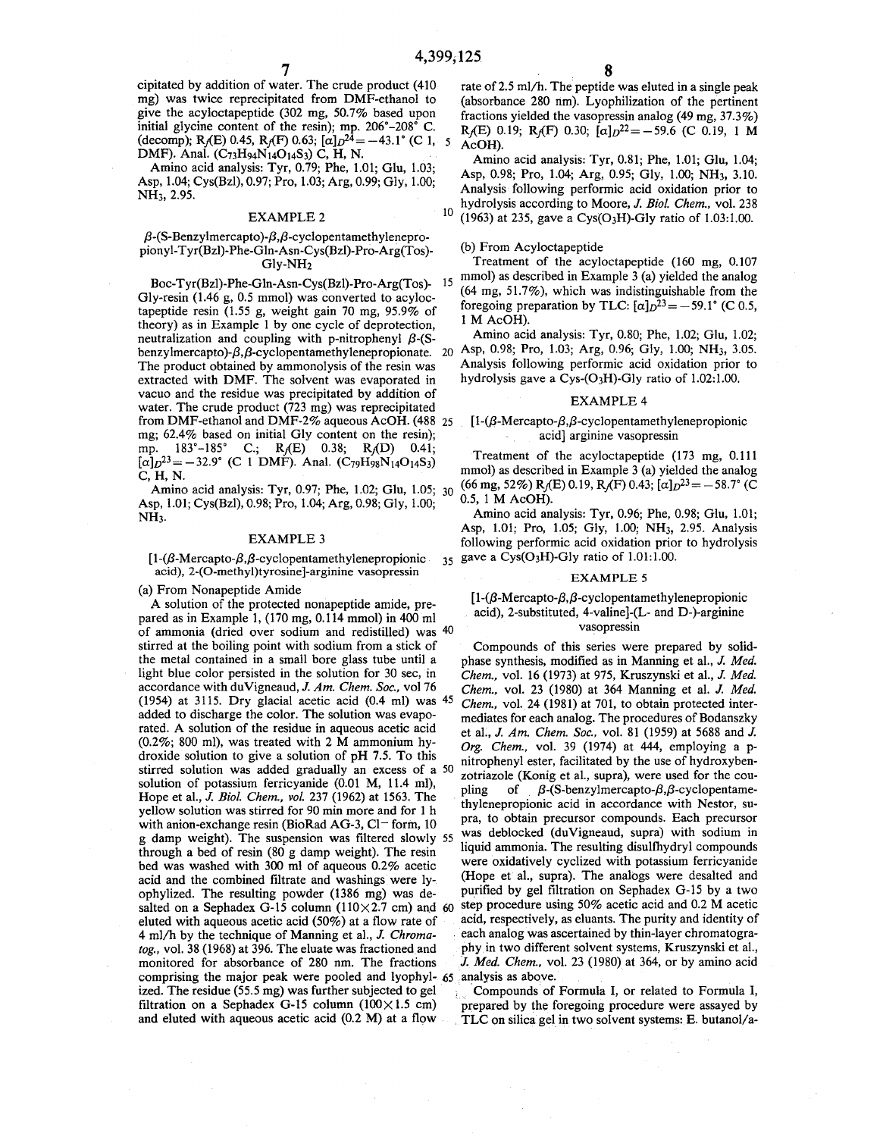cipitated by addition of water. The crude product (410 mg) was twice reprecipitated from DMF-ethanol to give the acyloctapeptide (302 mg, 50.7% based upon initial glycine content of the resin); mp. 206°-208° C. (decomp); R<sub>f</sub>(E) 0.45, R<sub>f</sub>(F) 0.63;  $\alpha$ ] $p^{24} = -43.1$  ° (C 1, 5) DMF). Anal. (C73H94N14O14S3) C, H, N.

Amino acid analysis: Tyr, 0.79; Phe, 1.01; Glu, 1.03; Asp, 1.04; Cys(Bzl), 0.97; Pro, 1.03; Arg, 0.99; Gly, 1.00; NH<sub>3</sub>, 2.95.

#### EXAMPLE2

#### $\beta$ -(S-Benzylmercapto)- $\beta$ , $\beta$ -cyclopentamethy lenepropionyl-Tyr(Bzl)-Phe-Gln-Asn-Cys(Bzl)-Pro-Arg(Tos)-Gly-NH2

benzylmercapto)- $\beta$ , $\beta$ -cyclopentamethylenepropionate. 20 Asp, 0.98; Pro, 1.03; Arg, 0.96; Gly, 1.00; NH<sub>3</sub>, 3.05. Gly-resin (1.46 g, 0.5 mmol) was converted to acyloctapeptide resin (1.55 g, weight gain 70 mg, 95.9% of theory) as in Example 1 by one cycle of deprotection, neutralization and coupling with p-nitrophenyl  $\beta$ -(S-The product obtained by ammonolysis of the resin was extracted with **DMF.** The solvent was evaporated in vacuo and the residue was precipitated by addition of water. The crude product (723 mg) was reprecipitated from DMF-ethanol and DMF-2% aqueous AcOH. (488 25 mg; 62.4% based on initial Gly content on the resin); mp. 183°-185° C.; R<sub>1</sub>(E) 0.38; R<sub>1</sub>(D) 0.41;  $[\alpha]_D^{23} = -32.9^{\circ}$  (C 1 DMF). Anal. (C<sub>79</sub>H<sub>98</sub>N<sub>14</sub>O<sub>14</sub>S<sub>3</sub>) **C,H,N.** 

Amino acid analysis: Tyr, 0.97; Phe, 1.02; Glu, 1.05; Asp, 1.01; Cys(Bzl), 0.98; Pro, 1.04; Arg, 0.98; Gly, 1.00; **NH3.** 

#### EXAMPLE 3

[ $1-(\beta-Mercapto-\beta,\beta-cyclopentamethylenepropionic$ acid), 2-(O-methyl)tyrosine]-arginine vasopressin

(a) From Nonapeptide Amide

pared as in Example 1, (170 mg, 0.114 mmol) in 400 ml of ammonia (dried over sodium and redistilled) was <sup>40</sup> vasopressin stirred at the boiling point with sodium from a stick of Compounds of this series were prepared by solidthe metal contained in a small bore glass tube until a phase synthesis, modified as in Manning et al., J. *Med.*  light blue color persisted in the solution for 30 sec, in *Chem.,* vol. 16 (1973) at 975, Kruszynski et al., J. *Med.*  accordance with duVigneaud, J. *Am. Chem. Soc.,* vol 76 *Chem.,* vol. 23 (1980) at 364 Manning et al. J. *Med.*  (1954) at 3115. Dry glacial acetic acid (0.4 ml) was 45 *Chem.,* vol. 24 (1981) at 701, to obtain protected interadded to discharge the color. The solution was evapo-<br>
mediates for each analog. The procedures of Bodanszky<br>
rated. A solution of the residue in aqueous acetic acid<br>
et al. J. Am. Chem. Soc. vol. 81 (1959) at 5688 and J. rated. A solution of the residue in aqueous acetic acid et al., J. *Am. Chem. Soc.*, vol. 81 (1959) at 5688 and J.<br>(0.2%; 800 ml), was treated with 2 M ammonium hy-<br> $Q_{PQ}$  Chem. vol. 39 (1974) at 444 employing a n-(0.2%; 800 ml), was treated with 2 M ammonium hy-<br>droxide solution to give a solution of pH 7.5. To this introphenyl ester fecilitated by the use of hydroxybenstirred solution was added gradually an excess of a 50  $\frac{1}{2}$  zotriazole (Konig et al., supra), were used for the cou-<br>solution of potassium ferricyanide (0.01 M, 11.4 ml), solution of potassium ferricyanide (0.01 M, 11.4 ml), pling of  $\beta$ -(S-benzylmercapto- $\beta$ , $\beta$ -cyclopentame-<br>Hope et al., J. Biol. Chem., vol. 237 (1962) at 1563. The thylenepropionic acid in accordance with Nestor, suyellow solution was stirred for 90 min more and for 1 h thylenepropionic acid in accordance with Nestor, su-<br>with onion axchange regin (BioPed AG 3, Cl = form 10 pra, to obtain precursor compounds. Each precursor with anion-exchange resin (BioRad AG-3, Cl – form,  $10$  pra, to obtain precursor compounds. Each precursor  $\sigma$  damn weight). The suspension was filtered slowly 55 was deblocked (duVigneaud, supra) with sodium in g damp weight). The suspension was filtered slowly 55 was debioded (duvigneaud, supra) with social in<br>the supra) is the supra liquid ammonia. The resulting disulflydryl compounds through a bed of resin (80 g damp weight). The resin<br>hed was weeked with  $300 \text{ m}$  of aqueous 0.2% acetic were oxidatively cyclized with potassium ferricyanide bed was washed with  $300$  ml of aqueous  $0.2\%$  acetic acid and the combined filtrate and washings were Jy- (Hope et al., supra). The analogs were desalted and ophylized. The resulting powder (1386 mg) was de-<br>salted on a Sephadex G-15 column  $(110 \times 2.7 \text{ cm})$  and 60 step procedure using 50% acetic acid and 0.2 M acetic salted on a Sephadex G-15 column (110 $\times$ 2.7 cm) and 60 eluted with aqueous acetic acid (50%) at a flow rate of acid, respectively, as eluants. The purity and identity of  $4 \text{ m/h}$  by the technique of Manning et al., J. Chroma- each analog was ascertained by thin-layer chromat 4 ml/h by the technique of Manning et al., *J. Chromatog.,* vol. 38 (1968) at 396. The eluate was fractioned and phyin two different solvent systems, Kruszynski et al., monitored for absorbance of 280 nm. The fractions J. *Med. Chem.,* vol. 23 (1980) at 364, or by amino acid comprising the major peak were pooled and lyophyl- 65 analysis as above. ized. The residue (55.5 mg) was further subjected to gel Compounds of Formula I, or related to Formula I, filtration on a Sephadex G-15 column  $(100 \times 1.5 \text{ cm})$  repared by the foregoing procedure were assayed by

rate of 2.5 ml/h. The peptide was eluted in a single peak (absorbance 280 nm). Lyophilization of the pertinent fractions yielded the vasopressin analog (49 mg, 37.3%) R<sub>f</sub>(E) 0.19; R<sub>f</sub>(F) 0.30;  $[\alpha]_D^{22} = -59.6$  (C 0.19, 1 M AcOH).

Amino acid analysis: Tyr, 0.81; Phe, 1.01; Glu, 1.04; Asp, 0.98; Pro, 1.04; Arg, 0.95; Gly, 1.00; NH3, 3.10. Analysis following performic acid oxidation prior to hydrolysis according to Moore, J. *Biol Chem.,* vol. 238 10 (1963) at 235, gave a Cys(O<sub>3</sub>H)-Gly ratio of 1.03:1.00.

#### (b) From Acyloctapeptide

Treatment of the acyloctapeptide (160 mg, 0.107 Boc-Tyr(Bzl)-Phe-Gln-Asn-Cys(Bzl)-Pro-Arg(Tos)- 15 mmol) as described in Example 3 (a) yielded the analog (64 mg, 51.7%), which was indistinguishable from the foregoing preparation by TLC:  $\lbrack \alpha \rbrack_D{}^{23} = -59.1^\circ$  (C 0.5, 1 M AcOH).

> Amino acid analysis: Tyr, 0.80; Phe, 1.02; Glu, 1.02; Analysis following performic acid oxidation prior to hydrolysis gave a Cys-(O3H)-Gly ratio of 1.02:1.00.

#### **EXAMPLE 4**

 $[1-(\beta-Mercapto-\beta,\beta-cyclopentamethylene propionic$ acid] arginine vasopressin

Treatment of the acyloctapeptide (173 mg, 0.111 mmol) as described in Example 3 (a) yielded the analog  $(66 \text{ mg}, 52\%)$  R<sub>f</sub>(E) 0.19, R<sub>f</sub>(F) 0.43;  $[\alpha]_D^{23} = -58.7^\circ$  (C) 0.5, 1 M AcOH).

Amino acid analysis: Tyr, 0.96; Phe, 0.98; Glu, 1.01; Asp, 1.01; Pro, 1.05; Gly, 1.00; NH3, 2.95. Analysis following performic acid oxidation prior to hydrolysis  $35$  gave a Cys(O<sub>3</sub>H)-Gly ratio of 1.01:1.00.

#### EXAMPLE 5

## $[1-(\beta-Mercapto-\beta,\beta-cyclopentamethylene propionic$ A solution of the protected nonapeptide amide, pre-<br>acid), 2-substituted, 4-valine]-(L- and D-)-arginine  $\alpha$  argining  $\alpha$  acid), 2-substituted, 4-valine]-(L- and D-)-arginine

nitrophenyl ester, facilitated by the use of hydroxyben-

and eluted with aqueous acetic acid (0.2 M) at a flow TLC on silica gel in two solvent systems: E. butanol/a-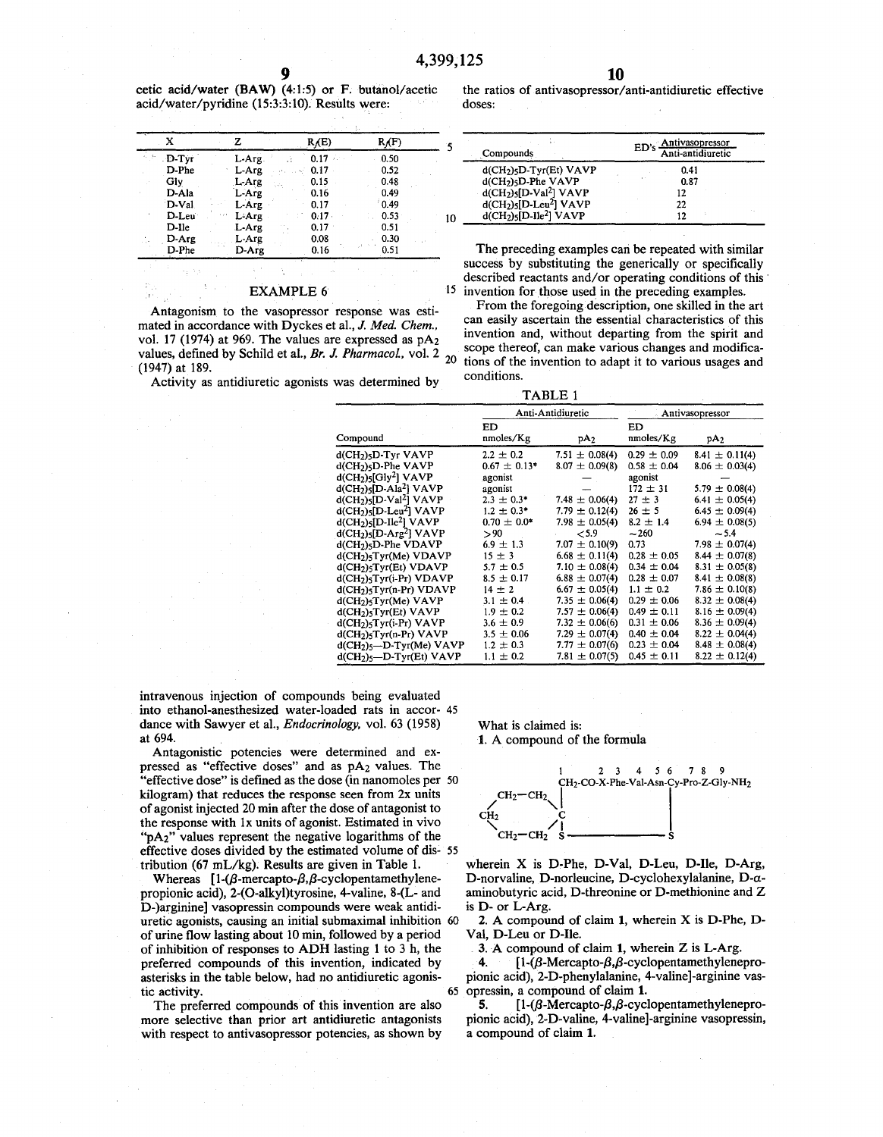cetic acid/water **(BAW)** (4:1:5) or F. butanol/acetic acid/water/pyridine (15:3:3:10). Results were:

|  |                    |           | R(E)     | $R_f(F)$ |    |                         | Antivasopressor<br>ED's                             |
|--|--------------------|-----------|----------|----------|----|-------------------------|-----------------------------------------------------|
|  | $D-Tyr$            | $L$ -Arg. | 0.17     | 0.50     |    | Compounds               | Anti-antidiuretic                                   |
|  | D-Phe              | L-Arg     | 0.17     | 0.52     |    | $d(CH2)5D-Tyr(Et) VAVP$ | 0.41                                                |
|  | Gly                | $L$ -Arg  | 0.15     | 0.48     |    | $d(CH2)5D-Phe VAVP$     | 0.87                                                |
|  | D-Ala              | L-Arg     | 0.16     | 0.49     |    | $d(CH2)5[D-Val2] VAVP$  |                                                     |
|  | D-Val              | L-Arg     | 0.17     | 0.49     |    | $d(CH2)5[D-Leu2] VAVP$  | 22                                                  |
|  | D-Leu <sup>-</sup> | $L-Arg$   | $0.17 -$ | 0.53     | 10 | $d(CH2)5[D-I]e2] VAVP$  |                                                     |
|  | D-lle              | L-Arg     | 0.17     | 0.51     |    |                         |                                                     |
|  | D-Arg              | L-Arg     | 0.08     | 0.30     |    |                         |                                                     |
|  | D-Phe              | D-Arg     | 0.16     | 0.51     |    |                         | The preceding examples can be repeated with similar |

#### **EXAMPLE 6**

Antagonism to the vasopressor response was estimated in accordance with Dyckes et al., J. *Med. Chem.,*  vol. 17 (1974) at 969. The values are expressed as  $pA_2$ values, defined by Schild et al., *Br. J. Pharmacol.*, vol. 2 <sub>20</sub> (1947) at 189.

Activity as antidiuretic agonists was determined by

**10** 

the ratios of antivasopressor/anti-antidiuretic effective doses:

| Compounds               | ED's Antivasopressor<br>Anti-antidiuretic |  |  |
|-------------------------|-------------------------------------------|--|--|
| $d(CH2)5D-Tyr(Et) VAVP$ | 0.41                                      |  |  |
| $d(CH2)5D-Phe VAVP$     | 0.87                                      |  |  |
| $d(CH2)5[D-Val2] VAVP$  | 12                                        |  |  |
| $d(CH2)5[D-Leu2]$ VAVP  | 22                                        |  |  |
| $d(CH2)5[D-Ile2]$ VAVP  | 12                                        |  |  |

The preceding examples can be repeated with similar success by substituting the generically or specifically described reactants and/or operating conditions of this· 15 invention for those used in the preceding examples.

From the foregoing description, one skilled in the art can easily ascertain the essential characteristics of this invention and, without departing from the spirit and scope thereof, can make various changes and modifications of the invention to adapt it to various usages and conditions.

TABLE 1

|                                                               |                  | Anti-Antidiuretic  | Antivasopressor |                    |
|---------------------------------------------------------------|------------------|--------------------|-----------------|--------------------|
|                                                               | ED               |                    | ED              |                    |
| Compound                                                      | nmoles/Kg        | pA <sub>2</sub>    | nnoles/Kg       | pA <sub>2</sub>    |
| d(CH <sub>2</sub> ) <sub>5</sub> D-Tyr VAVP                   | $2.2 \pm 0.2$    | $7.51 \pm 0.08(4)$ | $0.29 \pm 0.09$ | $8.41 \pm 0.11(4)$ |
| $d$ (CH <sub>2</sub> ) $5$ D-Phe VAVP                         | $0.67 \pm 0.13*$ | $8.07 \pm 0.09(8)$ | $0.58 \pm 0.04$ | $8.06 \pm 0.03(4)$ |
| $d(CH2)5[Gly2]$ VAVP                                          | agonist          |                    | agonist         |                    |
| $d(CH2)5[D-Al22] VAVP$                                        | agonist          |                    | $172 \pm 31$    | $5.79 \pm 0.08(4)$ |
| $d(CH2)5[D-V4]2] VAVP$                                        | $2.3 \pm 0.3^*$  | 7.48 $\pm$ 0.06(4) | $27 \pm 3$      | $6.41 \pm 0.05(4)$ |
| $d(CH2)5[D-Leu2] VAVP$                                        | $1.2 \pm 0.3^*$  | 7.79 $\pm$ 0.12(4) | $26 \pm 5$      | $6.45 \pm 0.09(4)$ |
| $d$ (CH <sub>2</sub> ) $\varsigma$ [D-Ile <sup>2</sup> ] VAVP | $0.70 \pm 0.0*$  | $7.98 \pm 0.05(4)$ | $8.2 \pm 1.4$   | $6.94 \pm 0.08(5)$ |
| $d(CH2)5[D-Arg2]$ VAVP                                        | > 90             | < 5.9              | $-260$          | $-5.4$             |
| d(CH <sub>2</sub> ) <sub>5</sub> D-Phe VDAVP                  | $6.9 \pm 1.3$    | $7.07 \pm 0.10(9)$ | 0.73            | 7.98 $\pm$ 0.07(4) |
| $d(CH2)5Tyr(Me) VDAVP$                                        | $15 \pm 3$       | $6.68 \pm 0.11(4)$ | $0.28 \pm 0.05$ | $8.44 \pm 0.07(8)$ |
| d(CH <sub>2</sub> ) <sub>5</sub> Tyr(Et) VDAVP                | $5.7 \pm 0.5$    | 7.10 $\pm$ 0.08(4) | $0.34 \pm 0.04$ | $8.31 \pm 0.05(8)$ |
| $d(CH2)5Tyr(i-Pr) VDAVP$                                      | $8.5 \pm 0.17$   | $6.88 \pm 0.07(4)$ | $0.28 \pm 0.07$ | $8.41 \pm 0.08(8)$ |
| $d(CH2)5Tyr(n-Pr) VDAVP$                                      | $14 \pm 2$       | $6.67 \pm 0.05(4)$ | $1.1 \pm 0.2$   | 7.86 $\pm$ 0.10(8) |
| $d(CH2)5Tyr(Me) VAVP$                                         | $3.1 \pm 0.4$ .  | $7.35 \pm 0.06(4)$ | $0.29 \pm 0.06$ | $8.32 \pm 0.08(4)$ |
| $d(CH2)$ <sub>5</sub> Tyr(Et) VAVP                            | $1.9 \pm 0.2$    | $7.57 \pm 0.06(4)$ | $0.49 \pm 0.11$ | $8.16 \pm 0.09(4)$ |
| $d(CH2)5 Tyr(i-Pr) VAVP$                                      | $3.6 \pm 0.9$    | $7.32 \pm 0.06(6)$ | $0.31 \pm 0.06$ | $8.36 \pm 0.09(4)$ |
| $d(CH2)5 Tyr(n-Pr) VAVP$                                      | $3.5 \pm 0.06$   | 7.29 $\pm$ 0.07(4) | $0.40 \pm 0.04$ | $8.22 \pm 0.04(4)$ |
| $d(CH2)5$ -D-Tyr(Me) VAVP                                     | $1.2 \pm 0.3$    | $7.77 \pm 0.07(6)$ | $0.23 \pm 0.04$ | $8.48 \pm 0.08(4)$ |
| $d(CH2)5$ -D-Tyr(Et) VAVP                                     | $1.1 \pm 0.2$    | 7.81 $\pm$ 0.07(5) | $0.45 \pm 0.11$ | $8.22 \pm 0.12(4)$ |

intravenous injection of compounds being evaluated into ethanol-anesthesized water-loaded rats in accor- 45 dance with Sawyer et al., *Endocrinology,* vol. 63 (1958) at 694.

Antagonistic potencies were determined and expressed as "effective doses" and as pA2 values. The "effective dose" is defined as the dose (in nanomoles per 50 kilogram) that reduces the response seen from 2x units of agonist injected 20 min after the dose of antagonist to the response with lx units of agonist. Estimated in vivo " $pA_2$ " values represent the negative logarithms of the effective doses divided by the estimated volume of dis- 55 tribution (67 mL/kg). Results are given in Table 1.

Whereas  $[1-(\beta-mercapto-\beta,\beta-cyclopentamethylene$ propionic acid), 2-(0-alkyl)tyrosine, 4-valine, 8-(L- and D-)arginine] vasopressin compounds were weak antidiuretic agonists, causing an initial submaximal inhibition 60 of urine flow lasting about 10 min, followed by a period of inhibition of responses to **ADH** lasting 1 to 3 h, the preferred compounds of this invention, indicated by asterisks in the table below, had no antidiuretic agonistic activity. 65

The preferred compounds of this invention are also more selective than prior art antidiuretic antagonists with respect to antivasopressor potencies, as shown by What is claimed is:

**1.** A compound of the formula



wherein X is D-Phe, D-Val, D-Leu, D-Ile, D-Arg, D-norvaline, D-norleucine, D-cyclohexylalanine, D-aaminobutyric acid, D-threonine or D-methionine and Z is **D-** or L-Arg.

**2. A** compound of claim **1,** wherein X is D-Phe, D-Val, D-Leu or D-Ile.

. **3. A** compound of claim **1,** wherein Z is L-Arg.

**4.**  $[1-(\beta-Mercapto-\beta,\beta-cyclopentamethylenepro$ pionic acid), 2-D-phenylalanine, 4-valine]-arginine vasopressin, a compound of claim **1.** 

**5.**  $[1-(\beta-Mercapto-\beta,\beta-cyclopentamethylenepro$ pionic acid), 2-D-valine, 4-valine]-arginine vasopressin, a compound of claim **1.**